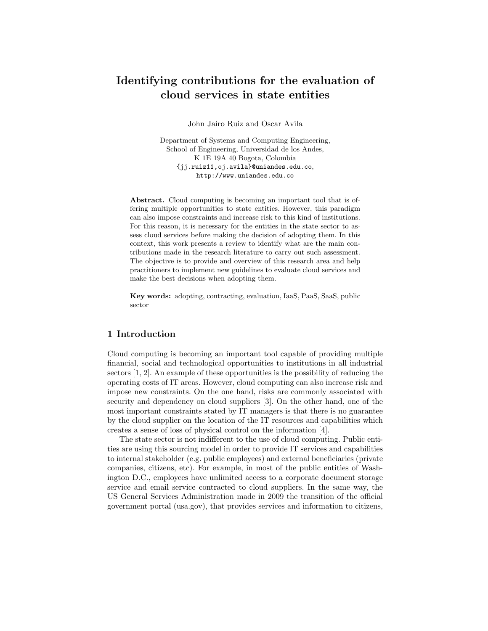# Identifying contributions for the evaluation of cloud services in state entities

John Jairo Ruiz and Oscar Avila

Department of Systems and Computing Engineering, School of Engineering, Universidad de los Andes, K 1E 19A 40 Bogota, Colombia {jj.ruiz11,oj.avila}@uniandes.edu.co, http://www.uniandes.edu.co

Abstract. Cloud computing is becoming an important tool that is offering multiple opportunities to state entities. However, this paradigm can also impose constraints and increase risk to this kind of institutions. For this reason, it is necessary for the entities in the state sector to assess cloud services before making the decision of adopting them. In this context, this work presents a review to identify what are the main contributions made in the research literature to carry out such assessment. The objective is to provide and overview of this research area and help practitioners to implement new guidelines to evaluate cloud services and make the best decisions when adopting them.

Key words: adopting, contracting, evaluation, IaaS, PaaS, SaaS, public sector

# 1 Introduction

Cloud computing is becoming an important tool capable of providing multiple financial, social and technological opportunities to institutions in all industrial sectors [1, 2]. An example of these opportunities is the possibility of reducing the operating costs of IT areas. However, cloud computing can also increase risk and impose new constraints. On the one hand, risks are commonly associated with security and dependency on cloud suppliers [3]. On the other hand, one of the most important constraints stated by IT managers is that there is no guarantee by the cloud supplier on the location of the IT resources and capabilities which creates a sense of loss of physical control on the information [4].

The state sector is not indifferent to the use of cloud computing. Public entities are using this sourcing model in order to provide IT services and capabilities to internal stakeholder (e.g. public employees) and external beneficiaries (private companies, citizens, etc). For example, in most of the public entities of Washington D.C., employees have unlimited access to a corporate document storage service and email service contracted to cloud suppliers. In the same way, the US General Services Administration made in 2009 the transition of the official government portal (usa.gov), that provides services and information to citizens,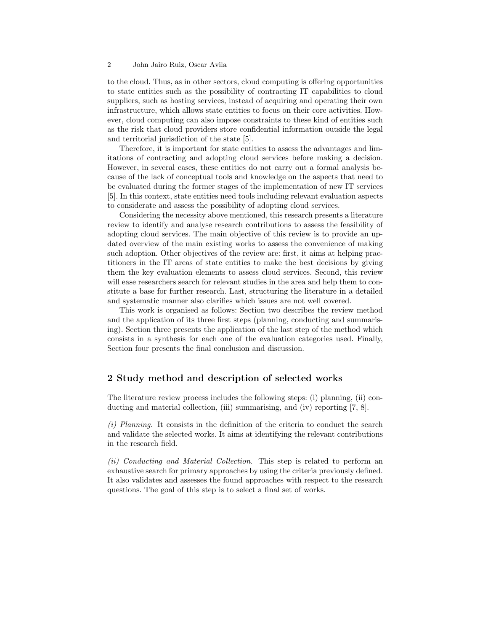to the cloud. Thus, as in other sectors, cloud computing is offering opportunities to state entities such as the possibility of contracting IT capabilities to cloud suppliers, such as hosting services, instead of acquiring and operating their own infrastructure, which allows state entities to focus on their core activities. However, cloud computing can also impose constraints to these kind of entities such as the risk that cloud providers store confidential information outside the legal and territorial jurisdiction of the state [5].

Therefore, it is important for state entities to assess the advantages and limitations of contracting and adopting cloud services before making a decision. However, in several cases, these entities do not carry out a formal analysis because of the lack of conceptual tools and knowledge on the aspects that need to be evaluated during the former stages of the implementation of new IT services [5]. In this context, state entities need tools including relevant evaluation aspects to considerate and assess the possibility of adopting cloud services.

Considering the necessity above mentioned, this research presents a literature review to identify and analyse research contributions to assess the feasibility of adopting cloud services. The main objective of this review is to provide an updated overview of the main existing works to assess the convenience of making such adoption. Other objectives of the review are: first, it aims at helping practitioners in the IT areas of state entities to make the best decisions by giving them the key evaluation elements to assess cloud services. Second, this review will ease researchers search for relevant studies in the area and help them to constitute a base for further research. Last, structuring the literature in a detailed and systematic manner also clarifies which issues are not well covered.

This work is organised as follows: Section two describes the review method and the application of its three first steps (planning, conducting and summarising). Section three presents the application of the last step of the method which consists in a synthesis for each one of the evaluation categories used. Finally, Section four presents the final conclusion and discussion.

## 2 Study method and description of selected works

The literature review process includes the following steps: (i) planning, (ii) conducting and material collection, (iii) summarising, and (iv) reporting [7, 8].

 $(i)$  Planning. It consists in the definition of the criteria to conduct the search and validate the selected works. It aims at identifying the relevant contributions in the research field.

(ii) Conducting and Material Collection. This step is related to perform an exhaustive search for primary approaches by using the criteria previously defined. It also validates and assesses the found approaches with respect to the research questions. The goal of this step is to select a final set of works.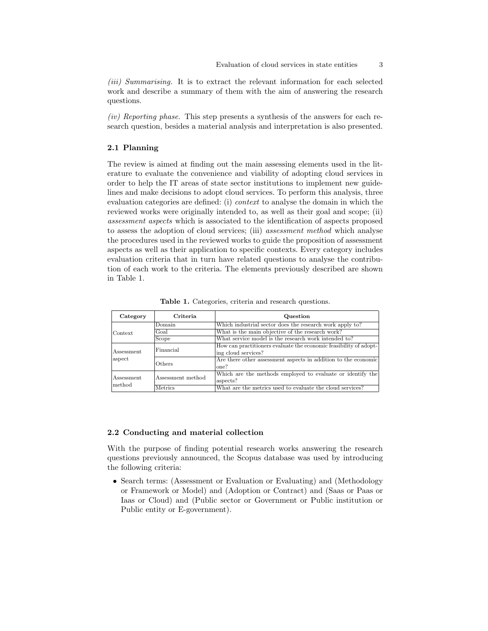(iii) Summarising. It is to extract the relevant information for each selected work and describe a summary of them with the aim of answering the research questions.

(iv) Reporting phase. This step presents a synthesis of the answers for each research question, besides a material analysis and interpretation is also presented.

## 2.1 Planning

The review is aimed at finding out the main assessing elements used in the literature to evaluate the convenience and viability of adopting cloud services in order to help the IT areas of state sector institutions to implement new guidelines and make decisions to adopt cloud services. To perform this analysis, three evaluation categories are defined: (i) *context* to analyse the domain in which the reviewed works were originally intended to, as well as their goal and scope; (ii) assessment aspects which is associated to the identification of aspects proposed to assess the adoption of cloud services; (iii) assessment method which analyse the procedures used in the reviewed works to guide the proposition of assessment aspects as well as their application to specific contexts. Every category includes evaluation criteria that in turn have related questions to analyse the contribution of each work to the criteria. The elements previously described are shown in Table 1.

Table 1. Categories, criteria and research questions.

| Category             | Criteria          | Question                                                          |  |
|----------------------|-------------------|-------------------------------------------------------------------|--|
| Context.             | Domain            | Which industrial sector does the research work apply to?          |  |
|                      | Goal              | What is the main objective of the research work?                  |  |
|                      | Scope             | What service model is the research work intended to?              |  |
| Assessment<br>aspect | Financial         | How can practitioners evaluate the economic feasibility of adopt- |  |
|                      |                   | ing cloud services?                                               |  |
|                      | Others            | Are there other assessment aspects in addition to the economic    |  |
|                      |                   | one?                                                              |  |
| Assessment<br>method | Assessment method | Which are the methods employed to evaluate or identify the        |  |
|                      |                   | aspects?                                                          |  |
|                      | <b>Metrics</b>    | What are the metrics used to evaluate the cloud services?         |  |

#### 2.2 Conducting and material collection

With the purpose of finding potential research works answering the research questions previously announced, the Scopus database was used by introducing the following criteria:

• Search terms: (Assessment or Evaluation or Evaluating) and (Methodology or Framework or Model) and (Adoption or Contract) and (Saas or Paas or Iaas or Cloud) and (Public sector or Government or Public institution or Public entity or E-government).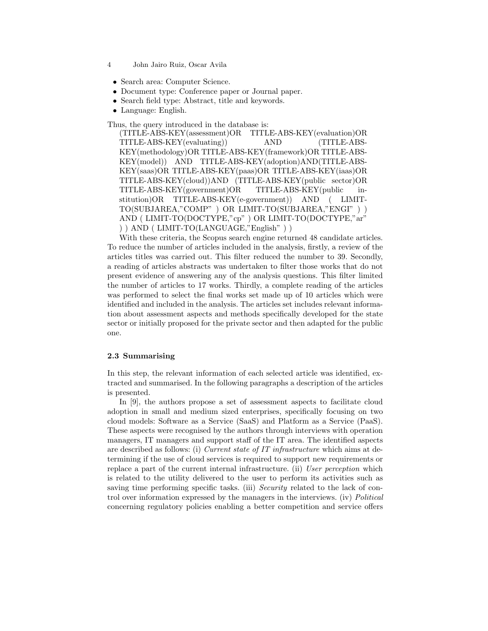- 4 John Jairo Ruiz, Oscar Avila
	- Search area: Computer Science.
	- Document type: Conference paper or Journal paper.
	- Search field type: Abstract, title and keywords.
	- Language: English.

Thus, the query introduced in the database is:

(TITLE-ABS-KEY(assessment)OR TITLE-ABS-KEY(evaluation)OR TITLE-ABS-KEY(evaluating)) AND (TITLE-ABS-KEY(methodology)OR TITLE-ABS-KEY(framework)OR TITLE-ABS-KEY(model)) AND TITLE-ABS-KEY(adoption)AND(TITLE-ABS-KEY(saas)OR TITLE-ABS-KEY(paas)OR TITLE-ABS-KEY(iaas)OR TITLE-ABS-KEY(cloud))AND (TITLE-ABS-KEY(public sector)OR TITLE-ABS-KEY(government)OR TITLE-ABS-KEY(public institution)OR TITLE-ABS-KEY(e-government)) AND ( LIMIT-TO(SUBJAREA,"COMP" ) OR LIMIT-TO(SUBJAREA,"ENGI" ) ) AND (LIMIT-TO(DOCTYPE,"cp") OR LIMIT-TO(DOCTYPE,"ar" ) ) AND ( LIMIT-TO(LANGUAGE,"English" ) )

With these criteria, the Scopus search engine returned 48 candidate articles. To reduce the number of articles included in the analysis, firstly, a review of the articles titles was carried out. This filter reduced the number to 39. Secondly, a reading of articles abstracts was undertaken to filter those works that do not present evidence of answering any of the analysis questions. This filter limited the number of articles to 17 works. Thirdly, a complete reading of the articles was performed to select the final works set made up of 10 articles which were identified and included in the analysis. The articles set includes relevant information about assessment aspects and methods specifically developed for the state sector or initially proposed for the private sector and then adapted for the public one.

#### 2.3 Summarising

In this step, the relevant information of each selected article was identified, extracted and summarised. In the following paragraphs a description of the articles is presented.

In [9], the authors propose a set of assessment aspects to facilitate cloud adoption in small and medium sized enterprises, specifically focusing on two cloud models: Software as a Service (SaaS) and Platform as a Service (PaaS). These aspects were recognised by the authors through interviews with operation managers, IT managers and support staff of the IT area. The identified aspects are described as follows: (i) Current state of IT infrastructure which aims at determining if the use of cloud services is required to support new requirements or replace a part of the current internal infrastructure. (ii) User perception which is related to the utility delivered to the user to perform its activities such as saving time performing specific tasks. (iii) Security related to the lack of control over information expressed by the managers in the interviews. (iv) Political concerning regulatory policies enabling a better competition and service offers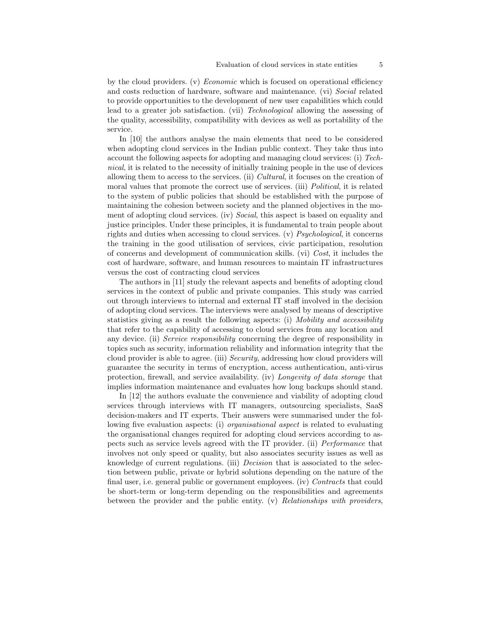by the cloud providers. (v) *Economic* which is focused on operational efficiency and costs reduction of hardware, software and maintenance. (vi) Social related to provide opportunities to the development of new user capabilities which could lead to a greater job satisfaction. (vii) Technological allowing the assessing of the quality, accessibility, compatibility with devices as well as portability of the service.

In [10] the authors analyse the main elements that need to be considered when adopting cloud services in the Indian public context. They take thus into account the following aspects for adopting and managing cloud services: (i) Technical, it is related to the necessity of initially training people in the use of devices allowing them to access to the services. (ii) Cultural, it focuses on the creation of moral values that promote the correct use of services. (iii) *Political*, it is related to the system of public policies that should be established with the purpose of maintaining the cohesion between society and the planned objectives in the moment of adopting cloud services. (iv) Social, this aspect is based on equality and justice principles. Under these principles, it is fundamental to train people about rights and duties when accessing to cloud services. (v) Psychological, it concerns the training in the good utilisation of services, civic participation, resolution of concerns and development of communication skills. (vi) Cost, it includes the cost of hardware, software, and human resources to maintain IT infrastructures versus the cost of contracting cloud services

The authors in [11] study the relevant aspects and benefits of adopting cloud services in the context of public and private companies. This study was carried out through interviews to internal and external IT staff involved in the decision of adopting cloud services. The interviews were analysed by means of descriptive statistics giving as a result the following aspects: (i) Mobility and accessibility that refer to the capability of accessing to cloud services from any location and any device. (ii) Service responsibility concerning the degree of responsibility in topics such as security, information reliability and information integrity that the cloud provider is able to agree. (iii) Security, addressing how cloud providers will guarantee the security in terms of encryption, access authentication, anti-virus protection, firewall, and service availability. (iv) Longevity of data storage that implies information maintenance and evaluates how long backups should stand.

In [12] the authors evaluate the convenience and viability of adopting cloud services through interviews with IT managers, outsourcing specialists, SaaS decision-makers and IT experts. Their answers were summarised under the following five evaluation aspects: (i) *organisational aspect* is related to evaluating the organisational changes required for adopting cloud services according to aspects such as service levels agreed with the IT provider. (ii) Performance that involves not only speed or quality, but also associates security issues as well as knowledge of current regulations. (iii) Decision that is associated to the selection between public, private or hybrid solutions depending on the nature of the final user, i.e. general public or government employees. (iv) Contracts that could be short-term or long-term depending on the responsibilities and agreements between the provider and the public entity. (v) Relationships with providers,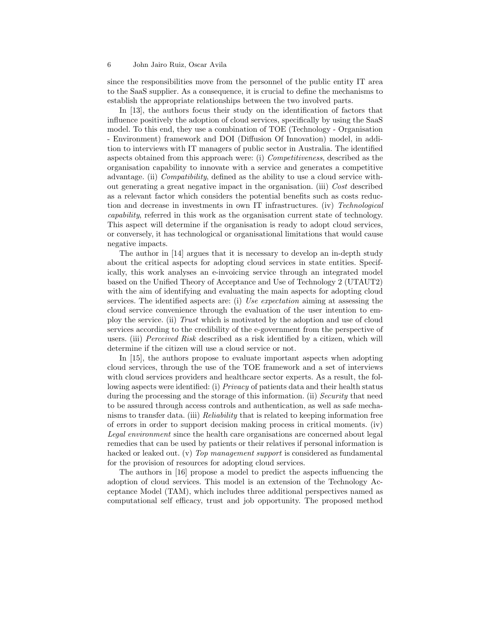since the responsibilities move from the personnel of the public entity IT area to the SaaS supplier. As a consequence, it is crucial to define the mechanisms to establish the appropriate relationships between the two involved parts.

In [13], the authors focus their study on the identification of factors that influence positively the adoption of cloud services, specifically by using the SaaS model. To this end, they use a combination of TOE (Technology - Organisation - Environment) framework and DOI (Diffusion Of Innovation) model, in addition to interviews with IT managers of public sector in Australia. The identified aspects obtained from this approach were: (i) Competitiveness, described as the organisation capability to innovate with a service and generates a competitive advantage. (ii) Compatibility, defined as the ability to use a cloud service without generating a great negative impact in the organisation. (iii) Cost described as a relevant factor which considers the potential benefits such as costs reduction and decrease in investments in own IT infrastructures. (iv) Technological capability, referred in this work as the organisation current state of technology. This aspect will determine if the organisation is ready to adopt cloud services, or conversely, it has technological or organisational limitations that would cause negative impacts.

The author in [14] argues that it is necessary to develop an in-depth study about the critical aspects for adopting cloud services in state entities. Specifically, this work analyses an e-invoicing service through an integrated model based on the Unified Theory of Acceptance and Use of Technology 2 (UTAUT2) with the aim of identifying and evaluating the main aspects for adopting cloud services. The identified aspects are: (i) Use expectation aiming at assessing the cloud service convenience through the evaluation of the user intention to employ the service. (ii) Trust which is motivated by the adoption and use of cloud services according to the credibility of the e-government from the perspective of users. (iii) Perceived Risk described as a risk identified by a citizen, which will determine if the citizen will use a cloud service or not.

In [15], the authors propose to evaluate important aspects when adopting cloud services, through the use of the TOE framework and a set of interviews with cloud services providers and healthcare sector experts. As a result, the following aspects were identified: (i) *Privacy* of patients data and their health status during the processing and the storage of this information. (ii) Security that need to be assured through access controls and authentication, as well as safe mechanisms to transfer data. (iii) Reliability that is related to keeping information free of errors in order to support decision making process in critical moments. (iv) Legal environment since the health care organisations are concerned about legal remedies that can be used by patients or their relatives if personal information is hacked or leaked out. (v) Top management support is considered as fundamental for the provision of resources for adopting cloud services.

The authors in [16] propose a model to predict the aspects influencing the adoption of cloud services. This model is an extension of the Technology Acceptance Model (TAM), which includes three additional perspectives named as computational self efficacy, trust and job opportunity. The proposed method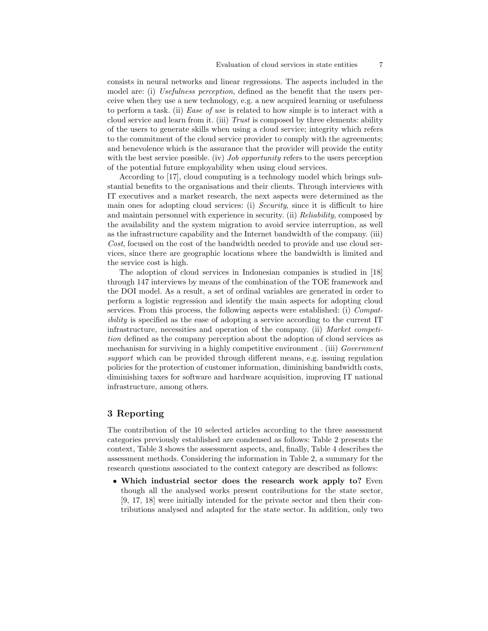consists in neural networks and linear regressions. The aspects included in the model are: (i) Usefulness perception, defined as the benefit that the users perceive when they use a new technology, e.g. a new acquired learning or usefulness to perform a task. (ii) Ease of use is related to how simple is to interact with a cloud service and learn from it. (iii) Trust is composed by three elements: ability of the users to generate skills when using a cloud service; integrity which refers to the commitment of the cloud service provider to comply with the agreements; and benevolence which is the assurance that the provider will provide the entity with the best service possible. (iv) *Job opportunity* refers to the users perception of the potential future employability when using cloud services.

According to [17], cloud computing is a technology model which brings substantial benefits to the organisations and their clients. Through interviews with IT executives and a market research, the next aspects were determined as the main ones for adopting cloud services: (i) Security, since it is difficult to hire and maintain personnel with experience in security. (ii) Reliability, composed by the availability and the system migration to avoid service interruption, as well as the infrastructure capability and the Internet bandwidth of the company. (iii) Cost, focused on the cost of the bandwidth needed to provide and use cloud services, since there are geographic locations where the bandwidth is limited and the service cost is high.

The adoption of cloud services in Indonesian companies is studied in [18] through 147 interviews by means of the combination of the TOE framework and the DOI model. As a result, a set of ordinal variables are generated in order to perform a logistic regression and identify the main aspects for adopting cloud services. From this process, the following aspects were established: (i) Compatibility is specified as the ease of adopting a service according to the current IT infrastructure, necessities and operation of the company. (ii) Market competition defined as the company perception about the adoption of cloud services as mechanism for surviving in a highly competitive environment. (iii) Government support which can be provided through different means, e.g. issuing regulation policies for the protection of customer information, diminishing bandwidth costs, diminishing taxes for software and hardware acquisition, improving IT national infrastructure, among others.

## 3 Reporting

The contribution of the 10 selected articles according to the three assessment categories previously established are condensed as follows: Table 2 presents the context, Table 3 shows the assessment aspects, and, finally, Table 4 describes the assessment methods. Considering the information in Table 2, a summary for the research questions associated to the context category are described as follows:

• Which industrial sector does the research work apply to? Even though all the analysed works present contributions for the state sector, [9, 17, 18] were initially intended for the private sector and then their contributions analysed and adapted for the state sector. In addition, only two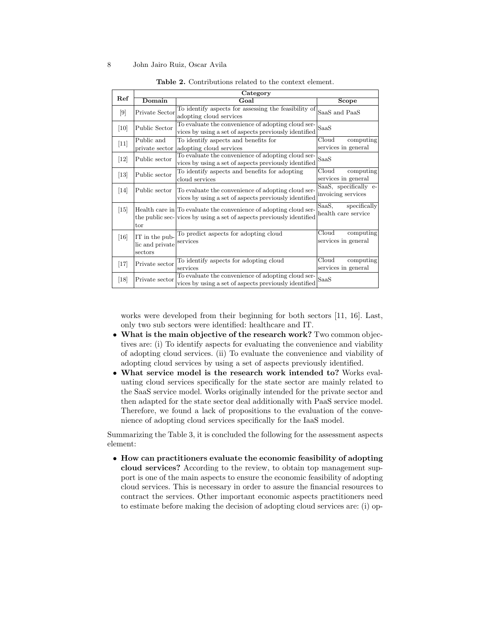|                  | Category                                     |                                                                                                                                            |                                              |  |  |
|------------------|----------------------------------------------|--------------------------------------------------------------------------------------------------------------------------------------------|----------------------------------------------|--|--|
| Ref              | Domain                                       | Goal                                                                                                                                       | Scope                                        |  |  |
| $\left[9\right]$ | Private Sector                               | To identify aspects for assessing the feasibility of<br>adopting cloud services                                                            | SaaS and PaaS                                |  |  |
| [10]             | Public Sector                                | To evaluate the convenience of adopting cloud ser-<br>vices by using a set of aspects previously identified                                | SaaS                                         |  |  |
| $[11]$           | Public and                                   | To identify aspects and benefits for                                                                                                       | Cloud<br>computing                           |  |  |
|                  | private sector                               | adopting cloud services                                                                                                                    | services in general                          |  |  |
| $[12]$           | Public sector                                | To evaluate the convenience of adopting cloud ser-<br>vices by using a set of aspects previously identified                                | SaaS                                         |  |  |
| $[13]$           | Public sector                                | To identify aspects and benefits for adopting<br>cloud services                                                                            | Cloud<br>computing<br>services in general    |  |  |
| $[14]$           | Public sector                                | To evaluate the convenience of adopting cloud ser-<br>vices by using a set of aspects previously identified                                | SaaS, specifically e-<br>invoicing services  |  |  |
| $[15]$           | tor                                          | Health care in To evaluate the convenience of adopting cloud ser-<br>the public sec- vices by using a set of aspects previously identified | SaaS,<br>specifically<br>health care service |  |  |
| $[16]$           | IT in the pub-<br>lic and private<br>sectors | To predict aspects for adopting cloud<br>services                                                                                          | Cloud<br>computing<br>services in general    |  |  |
| $[17]$           | Private sector                               | To identify aspects for adopting cloud<br>services                                                                                         | Cloud<br>computing<br>services in general    |  |  |
| [18]             | Private sector                               | To evaluate the convenience of adopting cloud ser-<br>vices by using a set of aspects previously identified                                | SaaS                                         |  |  |

Table 2. Contributions related to the context element.

works were developed from their beginning for both sectors [11, 16]. Last, only two sub sectors were identified: healthcare and IT.

- What is the main objective of the research work? Two common objectives are: (i) To identify aspects for evaluating the convenience and viability of adopting cloud services. (ii) To evaluate the convenience and viability of adopting cloud services by using a set of aspects previously identified.
- What service model is the research work intended to? Works evaluating cloud services specifically for the state sector are mainly related to the SaaS service model. Works originally intended for the private sector and then adapted for the state sector deal additionally with PaaS service model. Therefore, we found a lack of propositions to the evaluation of the convenience of adopting cloud services specifically for the IaaS model.

Summarizing the Table 3, it is concluded the following for the assessment aspects element:

• How can practitioners evaluate the economic feasibility of adopting cloud services? According to the review, to obtain top management support is one of the main aspects to ensure the economic feasibility of adopting cloud services. This is necessary in order to assure the financial resources to contract the services. Other important economic aspects practitioners need to estimate before making the decision of adopting cloud services are: (i) op-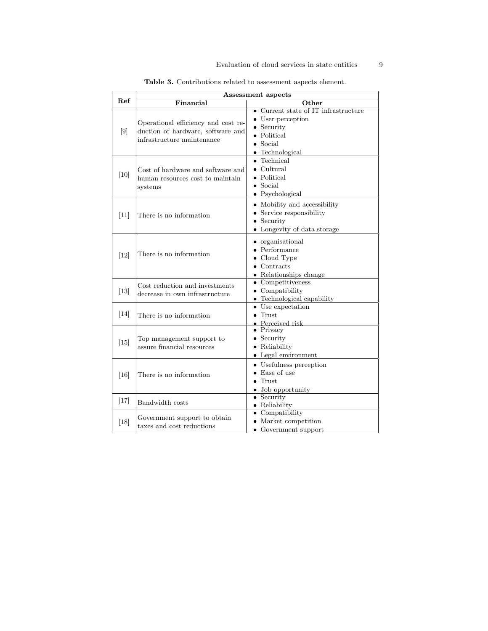|                  | Assessment aspects                                                                                     |                                                                                                                                   |  |  |  |
|------------------|--------------------------------------------------------------------------------------------------------|-----------------------------------------------------------------------------------------------------------------------------------|--|--|--|
| Ref              | Financial                                                                                              | $\overline{\rm Other}$                                                                                                            |  |  |  |
| $\left[9\right]$ | Operational efficiency and cost re-<br>duction of hardware, software and<br>infrastructure maintenance | $\bullet$ Current state of IT infrastructure<br>• User perception<br>$\bullet$ Security<br>• Political<br>Social<br>Technological |  |  |  |
| $[10]$           | Cost of hardware and software and<br>human resources cost to maintain<br>systems                       | Technical<br>Cultural<br>Political<br>$\bullet$ Social<br>$\bullet$ Psychological                                                 |  |  |  |
| $[11]$           | There is no information                                                                                | • Mobility and accessibility<br>• Service responsibility<br>Security<br>Longevity of data storage                                 |  |  |  |
| $[12]$           | There is no information                                                                                | • organisational<br>$\bullet$ Performance<br>$\bullet$ Cloud Type<br>Contracts<br>Relationships change                            |  |  |  |
| $[13]$           | Cost reduction and investments<br>decrease in own infrastructure                                       | $\bullet$ Competitiveness<br>$\bullet$ Compatibility<br>• Technological capability                                                |  |  |  |
| $[14]$           | There is no information                                                                                | • Use expectation<br>$\bullet$ Trust<br>$\bullet$ Perceived risk                                                                  |  |  |  |
| $[15]$           | Top management support to<br>assure financial resources                                                | $\bullet$ Privacy<br>$\bullet$ Security<br>• Reliability<br>$\bullet$ Legal environment                                           |  |  |  |
| [16]             | There is no information                                                                                | • Usefulness perception<br>$\bullet$ Ease of use<br>Trust<br>Job opportunity                                                      |  |  |  |
| $[17]$           | Bandwidth costs                                                                                        | $\bullet$ Security<br>• Reliability                                                                                               |  |  |  |
| $[18]$           | Government support to obtain<br>taxes and cost reductions                                              | $\bullet$ Compatibility<br>Market competition<br>• Government support                                                             |  |  |  |

Table 3. Contributions related to assessment aspects element.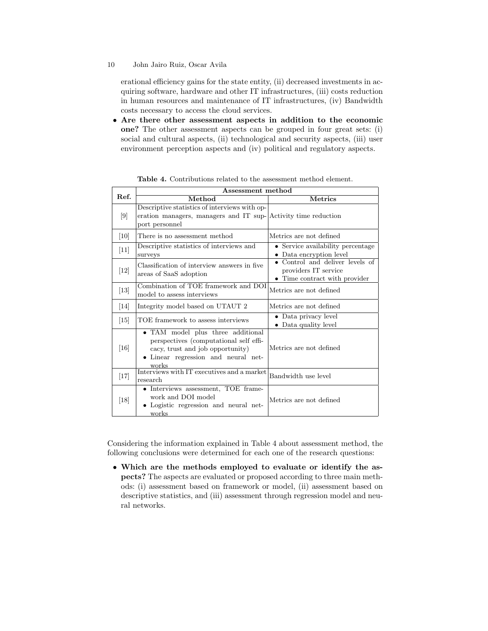erational efficiency gains for the state entity, (ii) decreased investments in acquiring software, hardware and other IT infrastructures, (iii) costs reduction in human resources and maintenance of IT infrastructures, (iv) Bandwidth costs necessary to access the cloud services.

• Are there other assessment aspects in addition to the economic one? The other assessment aspects can be grouped in four great sets: (i) social and cultural aspects, (ii) technological and security aspects, (iii) user environment perception aspects and (iv) political and regulatory aspects.

|                   | Assessment method                                                                                                                                               |                                                                                          |  |  |  |
|-------------------|-----------------------------------------------------------------------------------------------------------------------------------------------------------------|------------------------------------------------------------------------------------------|--|--|--|
| Ref.              | Method                                                                                                                                                          | <b>Metrics</b>                                                                           |  |  |  |
| $[9]$             | Descriptive statistics of interviews with op-<br>eration managers, managers and IT sup-Activity time reduction<br>port personnel                                |                                                                                          |  |  |  |
| [10]              | There is no assessment method                                                                                                                                   | Metrics are not defined                                                                  |  |  |  |
| $[11]$            | Descriptive statistics of interviews and<br>surveys                                                                                                             | • Service availability percentage<br>• Data encryption level                             |  |  |  |
| $[12]$            | Classification of interview answers in five<br>areas of SaaS adoption                                                                                           | • Control and deliver levels of<br>providers IT service<br>• Time contract with provider |  |  |  |
| $[13]$            | Combination of TOE framework and DOI<br>model to assess interviews                                                                                              | Metrics are not defined                                                                  |  |  |  |
| [14]              | Integrity model based on UTAUT 2                                                                                                                                | Metrics are not defined                                                                  |  |  |  |
| $\left[15\right]$ | TOE framework to assess interviews                                                                                                                              | • Data privacy level<br>• Data quality level                                             |  |  |  |
| [16]              | • TAM model plus three additional<br>perspectives (computational self effi-<br>cacy, trust and job opportunity)<br>• Linear regression and neural net-<br>works | Metrics are not defined                                                                  |  |  |  |
| $[17]$            | Interviews with IT executives and a market<br>research                                                                                                          | Bandwidth use level                                                                      |  |  |  |
| [18]              | • Interviews assessment, TOE frame-<br>work and DOI model<br>Logistic regression and neural net-<br>works                                                       | Metrics are not defined                                                                  |  |  |  |

Table 4. Contributions related to the assessment method element.

Considering the information explained in Table 4 about assessment method, the following conclusions were determined for each one of the research questions:

• Which are the methods employed to evaluate or identify the aspects? The aspects are evaluated or proposed according to three main methods: (i) assessment based on framework or model, (ii) assessment based on descriptive statistics, and (iii) assessment through regression model and neural networks.

<sup>10</sup> John Jairo Ruiz, Oscar Avila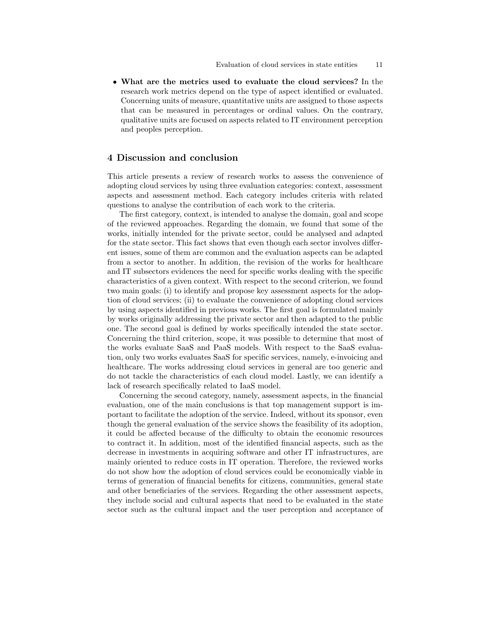• What are the metrics used to evaluate the cloud services? In the research work metrics depend on the type of aspect identified or evaluated. Concerning units of measure, quantitative units are assigned to those aspects that can be measured in percentages or ordinal values. On the contrary, qualitative units are focused on aspects related to IT environment perception and peoples perception.

# 4 Discussion and conclusion

This article presents a review of research works to assess the convenience of adopting cloud services by using three evaluation categories: context, assessment aspects and assessment method. Each category includes criteria with related questions to analyse the contribution of each work to the criteria.

The first category, context, is intended to analyse the domain, goal and scope of the reviewed approaches. Regarding the domain, we found that some of the works, initially intended for the private sector, could be analysed and adapted for the state sector. This fact shows that even though each sector involves different issues, some of them are common and the evaluation aspects can be adapted from a sector to another. In addition, the revision of the works for healthcare and IT subsectors evidences the need for specific works dealing with the specific characteristics of a given context. With respect to the second criterion, we found two main goals: (i) to identify and propose key assessment aspects for the adoption of cloud services; (ii) to evaluate the convenience of adopting cloud services by using aspects identified in previous works. The first goal is formulated mainly by works originally addressing the private sector and then adapted to the public one. The second goal is defined by works specifically intended the state sector. Concerning the third criterion, scope, it was possible to determine that most of the works evaluate SaaS and PaaS models. With respect to the SaaS evaluation, only two works evaluates SaaS for specific services, namely, e-invoicing and healthcare. The works addressing cloud services in general are too generic and do not tackle the characteristics of each cloud model. Lastly, we can identify a lack of research specifically related to IaaS model.

Concerning the second category, namely, assessment aspects, in the financial evaluation, one of the main conclusions is that top management support is important to facilitate the adoption of the service. Indeed, without its sponsor, even though the general evaluation of the service shows the feasibility of its adoption, it could be affected because of the difficulty to obtain the economic resources to contract it. In addition, most of the identified financial aspects, such as the decrease in investments in acquiring software and other IT infrastructures, are mainly oriented to reduce costs in IT operation. Therefore, the reviewed works do not show how the adoption of cloud services could be economically viable in terms of generation of financial benefits for citizens, communities, general state and other beneficiaries of the services. Regarding the other assessment aspects, they include social and cultural aspects that need to be evaluated in the state sector such as the cultural impact and the user perception and acceptance of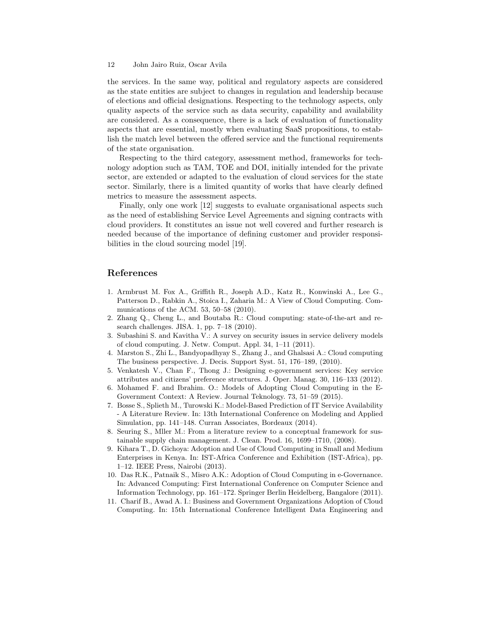the services. In the same way, political and regulatory aspects are considered as the state entities are subject to changes in regulation and leadership because of elections and official designations. Respecting to the technology aspects, only quality aspects of the service such as data security, capability and availability are considered. As a consequence, there is a lack of evaluation of functionality aspects that are essential, mostly when evaluating SaaS propositions, to establish the match level between the offered service and the functional requirements of the state organisation.

Respecting to the third category, assessment method, frameworks for technology adoption such as TAM, TOE and DOI, initially intended for the private sector, are extended or adapted to the evaluation of cloud services for the state sector. Similarly, there is a limited quantity of works that have clearly defined metrics to measure the assessment aspects.

Finally, only one work [12] suggests to evaluate organisational aspects such as the need of establishing Service Level Agreements and signing contracts with cloud providers. It constitutes an issue not well covered and further research is needed because of the importance of defining customer and provider responsibilities in the cloud sourcing model [19].

## References

- 1. Armbrust M. Fox A., Griffith R., Joseph A.D., Katz R., Konwinski A., Lee G., Patterson D., Rabkin A., Stoica I., Zaharia M.: A View of Cloud Computing. Communications of the ACM. 53, 50–58 (2010).
- 2. Zhang Q., Cheng L., and Boutaba R.: Cloud computing: state-of-the-art and research challenges. JISA. 1, pp. 7–18 (2010).
- 3. Subashini S. and Kavitha V.: A survey on security issues in service delivery models of cloud computing. J. Netw. Comput. Appl. 34, 1–11 (2011).
- 4. Marston S., Zhi L., Bandyopadhyay S., Zhang J., and Ghalsasi A.: Cloud computing The business perspective. J. Decis. Support Syst. 51, 176–189, (2010).
- 5. Venkatesh V., Chan F., Thong J.: Designing e-government services: Key service attributes and citizens' preference structures. J. Oper. Manag. 30, 116–133 (2012).
- 6. Mohamed F. and Ibrahim. O.: Models of Adopting Cloud Computing in the E-Government Context: A Review. Journal Teknology. 73, 51–59 (2015).
- 7. Bosse S., Splieth M., Turowski K.: Model-Based Prediction of IT Service Availability - A Literature Review. In: 13th International Conference on Modeling and Applied Simulation, pp. 141–148. Curran Associates, Bordeaux (2014).
- 8. Seuring S., Mller M.: From a literature review to a conceptual framework for sustainable supply chain management. J. Clean. Prod. 16, 1699–1710, (2008).
- 9. Kihara T., D. Gichoya: Adoption and Use of Cloud Computing in Small and Medium Enterprises in Kenya. In: IST-Africa Conference and Exhibition (IST-Africa), pp. 1–12. IEEE Press, Nairobi (2013).
- 10. Das R.K., Patnaik S., Misro A.K.: Adoption of Cloud Computing in e-Governance. In: Advanced Computing: First International Conference on Computer Science and Information Technology, pp. 161–172. Springer Berlin Heidelberg, Bangalore (2011).
- 11. Charif B., Awad A. I.: Business and Government Organizations Adoption of Cloud Computing. In: 15th International Conference Intelligent Data Engineering and